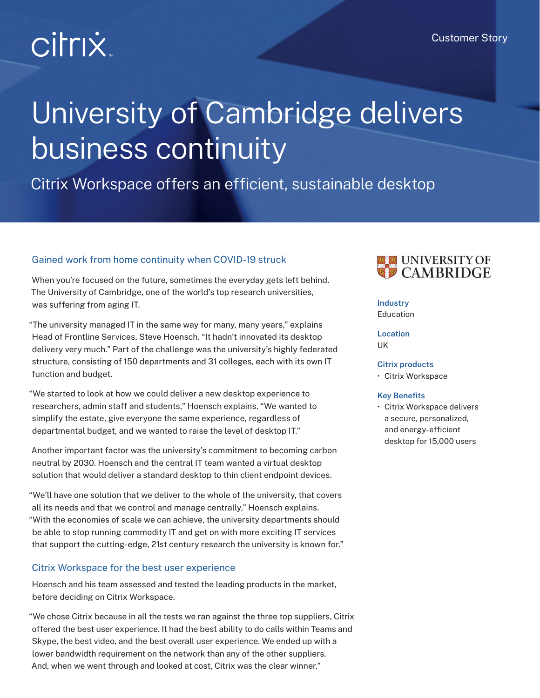# **Citrix**

# University of Cambridge delivers business continuity

# Citrix Workspace offers an efficient, sustainable desktop

# Gained work from home continuity when COVID-19 struck

When you're focused on the future, sometimes the everyday gets left behind. The University of Cambridge, one of the world's top research universities, was suffering from aging IT.

"The university managed IT in the same way for many, many years," explains Head of Frontline Services, Steve Hoensch. "It hadn't innovated its desktop delivery very much." Part of the challenge was the university's highly federated structure, consisting of 150 departments and 31 colleges, each with its own IT function and budget.

"We started to look at how we could deliver a new desktop experience to researchers, admin staff and students," Hoensch explains. "We wanted to simplify the estate, give everyone the same experience, regardless of departmental budget, and we wanted to raise the level of desktop IT."

Another important factor was the university's commitment to becoming carbon neutral by 2030. Hoensch and the central IT team wanted a virtual desktop solution that would deliver a standard desktop to thin client endpoint devices.

"We'll have one solution that we deliver to the whole of the university, that covers all its needs and that we control and manage centrally," Hoensch explains. "With the economies of scale we can achieve, the university departments should be able to stop running commodity IT and get on with more exciting IT services that support the cutting-edge, 21st century research the university is known for."

# Citrix Workspace for the best user experience

Hoensch and his team assessed and tested the leading products in the market, before deciding on Citrix Workspace.

"We chose Citrix because in all the tests we ran against the three top suppliers, Citrix offered the best user experience. It had the best ability to do calls within Teams and Skype, the best video, and the best overall user experience. We ended up with a lower bandwidth requirement on the network than any of the other suppliers. And, when we went through and looked at cost, Citrix was the clear winner."



## **Industry**

Education

**Location** UK

#### **Citrix products**

• Citrix Workspace

#### **Key Benefits**

• Citrix Workspace delivers a secure, personalized, and energy-efficient desktop for 15,000 users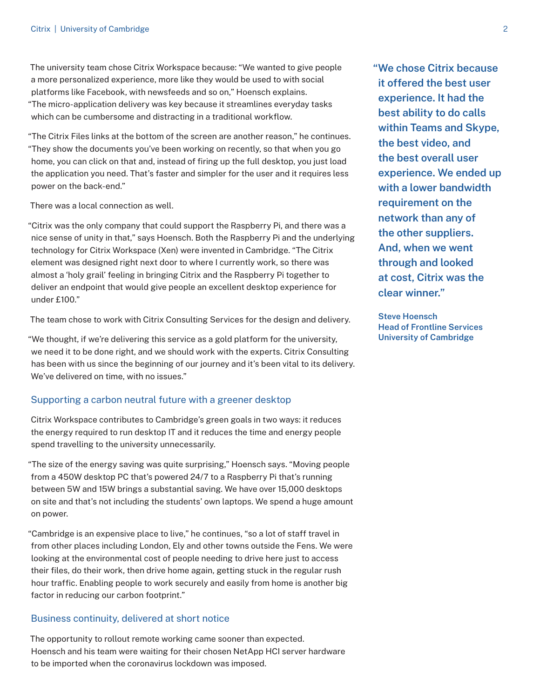The university team chose Citrix Workspace because: "We wanted to give people a more personalized experience, more like they would be used to with social platforms like Facebook, with newsfeeds and so on," Hoensch explains. "The micro-application delivery was key because it streamlines everyday tasks which can be cumbersome and distracting in a traditional workflow.

"The Citrix Files links at the bottom of the screen are another reason," he continues. "They show the documents you've been working on recently, so that when you go home, you can click on that and, instead of firing up the full desktop, you just load the application you need. That's faster and simpler for the user and it requires less power on the back-end."

There was a local connection as well.

"Citrix was the only company that could support the Raspberry Pi, and there was a nice sense of unity in that," says Hoensch. Both the Raspberry Pi and the underlying technology for Citrix Workspace (Xen) were invented in Cambridge. "The Citrix element was designed right next door to where I currently work, so there was almost a 'holy grail' feeling in bringing Citrix and the Raspberry Pi together to deliver an endpoint that would give people an excellent desktop experience for under £100."

The team chose to work with Citrix Consulting Services for the design and delivery.

"We thought, if we're delivering this service as a gold platform for the university, we need it to be done right, and we should work with the experts. Citrix Consulting has been with us since the beginning of our journey and it's been vital to its delivery. We've delivered on time, with no issues."

## Supporting a carbon neutral future with a greener desktop

Citrix Workspace contributes to Cambridge's green goals in two ways: it reduces the energy required to run desktop IT and it reduces the time and energy people spend travelling to the university unnecessarily.

"The size of the energy saving was quite surprising," Hoensch says. "Moving people from a 450W desktop PC that's powered 24/7 to a Raspberry Pi that's running between 5W and 15W brings a substantial saving. We have over 15,000 desktops on site and that's not including the students' own laptops. We spend a huge amount on power.

"Cambridge is an expensive place to live," he continues, "so a lot of staff travel in from other places including London, Ely and other towns outside the Fens. We were looking at the environmental cost of people needing to drive here just to access their files, do their work, then drive home again, getting stuck in the regular rush hour traffic. Enabling people to work securely and easily from home is another big factor in reducing our carbon footprint."

### Business continuity, delivered at short notice

The opportunity to rollout remote working came sooner than expected. Hoensch and his team were waiting for their chosen NetApp HCI server hardware to be imported when the coronavirus lockdown was imposed.

**"We chose Citrix because it offered the best user experience. It had the best ability to do calls within Teams and Skype, the best video, and the best overall user experience. We ended up with a lower bandwidth requirement on the network than any of the other suppliers. And, when we went through and looked at cost, Citrix was the clear winner."**

**Steve Hoensch Head of Frontline Services University of Cambridge**